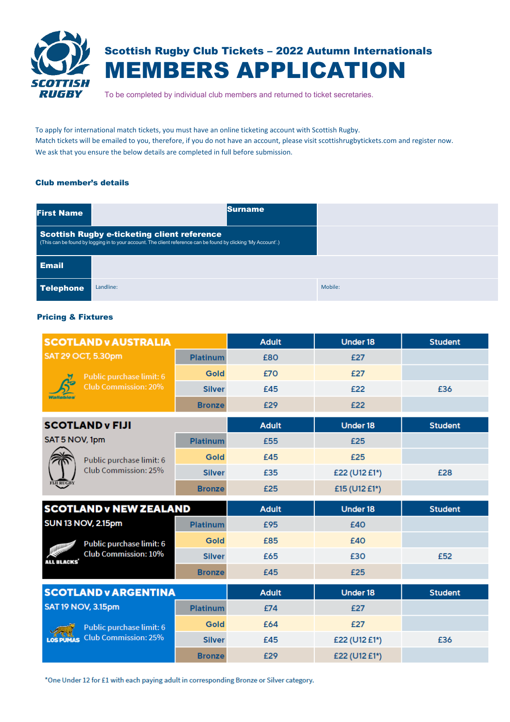

# Scottish Rugby Club Tickets – 2022 Autumn Internationals MEMBERS APPLICATION

To be completed by individual club members and returned to ticket secretaries.

To apply for international match tickets, you must have an online ticketing account with Scottish Rugby. Match tickets will be emailed to you, therefore, if you do not have an account, please visit scottishrugbytickets.com and register now. We ask that you ensure the below details are completed in full before submission.

# Club member's details

| <b>First Name</b> |                                                                                                                                                                      | <b>Surname</b> |         |
|-------------------|----------------------------------------------------------------------------------------------------------------------------------------------------------------------|----------------|---------|
|                   | <b>Scottish Rugby e-ticketing client reference</b><br>(This can be found by logging in to your account. The client reference can be found by clicking 'My Account'.) |                |         |
| <b>Email</b>      |                                                                                                                                                                      |                |         |
| <b>Telephone</b>  | Landline:                                                                                                                                                            |                | Mobile: |

## Pricing & Fixtures

| <b>SCOTLAND v AUSTRALIA</b>                      |                 | <b>Adult</b> | <b>Under 18</b> | <b>Student</b> |
|--------------------------------------------------|-----------------|--------------|-----------------|----------------|
| <b>SAT 29 OCT, 5.30pm</b>                        | <b>Platinum</b> | £80          | £27             |                |
| Public purchase limit: 6                         | <b>Gold</b>     | £70          | £27             |                |
| <b>Club Commission: 20%</b>                      | <b>Silver</b>   | £45          | £22             | £36            |
| Wallabi                                          | <b>Bronze</b>   | £29          | £22             |                |
| <b>SCOTLAND v FIJI</b>                           |                 | <b>Adult</b> | <b>Under 18</b> | <b>Student</b> |
| SAT 5 NOV, 1pm                                   | <b>Platinum</b> | £55          | £25             |                |
| Public purchase limit: 6                         | <b>Gold</b>     | £45          | £25             |                |
| Club Commission: 25%                             | <b>Silver</b>   | £35          | £22 (U12 £1*)   | £28            |
| <b>FIJI RUGBY</b>                                | <b>Bronze</b>   | £25          | £15 (U12 £1*)   |                |
| <b>SCOTLAND v NEW ZEALAND</b>                    |                 | <b>Adult</b> | Under 18        | <b>Student</b> |
| <b>SUN 13 NOV, 2.15pm</b>                        | <b>Platinum</b> | £95          | £40             |                |
| Public purchase limit: 6<br><b>WILLIAMS</b>      | <b>Gold</b>     | £85          | £40             |                |
| <b>Club Commission: 10%</b><br><b>ALL BLACKS</b> | <b>Silver</b>   | £65          | £30             | £52            |
|                                                  | <b>Bronze</b>   | £45          | £25             |                |
| <b>SCOTLAND v ARGENTINA</b>                      |                 | <b>Adult</b> | <b>Under 18</b> | <b>Student</b> |
| <b>SAT 19 NOV, 3.15pm</b><br><b>Platinum</b>     |                 | £74          | £27             |                |
| Public purchase limit: 6                         | <b>Gold</b>     | £64          | £27             |                |
| <b>Club Commission: 25%</b>                      | <b>Silver</b>   | £45          | £22 (U12 £1*)   | £36            |
|                                                  | <b>Bronze</b>   | £29          | £22 (U12 £1*)   |                |

\*One Under 12 for £1 with each paying adult in corresponding Bronze or Silver category.